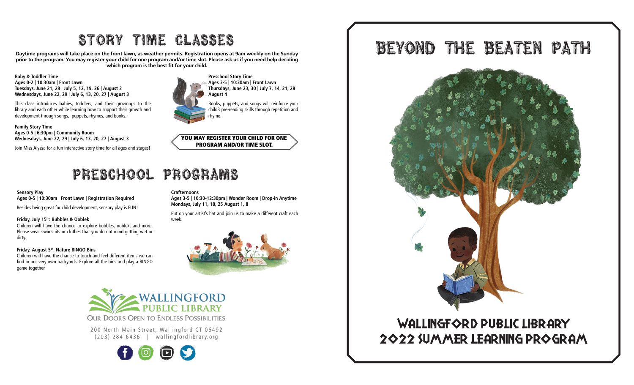# STORY TIME CLASSES

Daytime programs will take place on the front lawn, as weather permits. Registration opens at 9am weekly on the Sunday prior to the program. You may register your child for one program and/or time slot. Please ask us if you need help deciding which program is the best fit for your child.

Baby & Toddler Time Ages 0-2 | 10:30am | Front Lawn Tuesdays, June 21, 28 | July 5, 12, 19, 26 | August 2 Wednesdays, June 22, 29 | July 6, 13, 20, 27 | August 3

This class introduces babies, toddlers, and their grownups to the library and each other while learning how to support their growth and development through songs, puppets, rhymes, and books.

Family Story Time Ages 0-5 | 6:30pm | Community Room Wednesdays, June 22, 29 | July 6, 13, 20, 27 | August 3

Join Miss Alyssa for a fun interactive story time for all ages and stages!

# PRESCHOOL PROGRAMS

#### Sensory Play Ages 0-5 | 10:30am | Front Lawn | Registration Required

Besides being great for child development, sensory play is FUN!

#### Friday, July 15th: Bubbles & Ooblek

Children will have the chance to explore bubbles, ooblek, and more. Please wear swimsuits or clothes that you do not mind getting wet or dirty.

#### Friday, August 5th: Nature BINGO Bins

Children will have the chance to touch and feel different items we can find in our very own backyards. Explore all the bins and play a BINGO game together.



Preschool Story Time Ages 3-5 | 10:30am | Front Lawn Thursdays, June 23, 30 | July 7, 14, 21, 28 August 4

Books, puppets, and songs will reinforce your child's pre-reading skills through repetition and rhyme.



### **Crafternoons**

Ages 3-5 | 10:30-12:30pm | Wonder Room | Drop-in Anytime Mondays, July 11, 18, 25 August 1, 8

Put on your artist's hat and join us to make a different craft each week.





**OUR DOORS OPEN TO ENDLESS POSSIBILITIES** 

200 North Main Street, Wallingford CT 06492  $(203)$  284-6436 | wallingfordlibrary.org



BEYOND THE BEATEN PATH



## WALLINGFORD PUBLIC LIBRARY 2022 Summer Learning Program